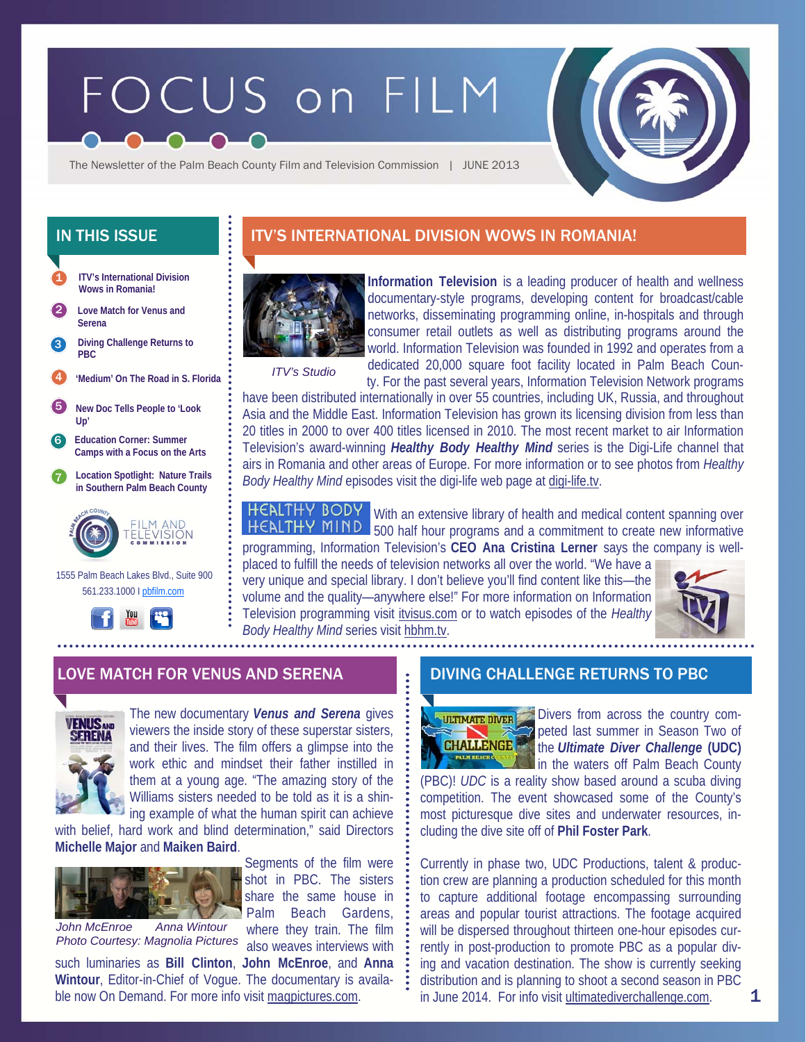# FOCUS on FILM



The Newsletter of the Palm Beach County Film and Television Commission | JUNE 2013

- **ITV's International Division Wows in Romania!**  1
- 2 **Love Match for Venus and Serena**
- **Diving Challenge Returns to PBC**  3
- 4 **'Medium' On The Road in S. Florida**
- 5 **New Doc Tells People to 'Look Up'**
- 6 **Education Corner: Summer Camps with a Focus on the Arts**
- 7 **Location Spotlight: Nature Trails in Southern Palm Beach County**



 1555 Palm Beach Lakes Blvd., Suite 900 561.233.1000 I pbfilm.com



# IN THIS ISSUE **IN THIS ISSUE ITV'S INTERNATIONAL DIVISION WOWS IN ROMANIA!**



**Information Television** is a leading producer of health and wellness documentary-style programs, developing content for broadcast/cable networks, disseminating programming online, in-hospitals and through consumer retail outlets as well as distributing programs around the world. Information Television was founded in 1992 and operates from a dedicated 20,000 square foot facility located in Palm Beach County. For the past several years, Information Television Network programs

*ITV's Studio* 

have been distributed internationally in over 55 countries, including UK, Russia, and throughout Asia and the Middle East. Information Television has grown its licensing division from less than 20 titles in 2000 to over 400 titles licensed in 2010. The most recent market to air Information Television's award-winning *Healthy Body Healthy Mind* series is the Digi-Life channel that airs in Romania and other areas of Europe. For more information or to see photos from *Healthy Body Healthy Mind* episodes visit the digi-life web page at digi-life.tv.

**HEALTHY BODY** With an extensive library of health and medical content spanning over HEALTHY MIND 500 half hour programs and a commitment to create new informative programming, Information Television's **CEO Ana Cristina Lerner** says the company is well-

placed to fulfill the needs of television networks all over the world. "We have a very unique and special library. I don't believe you'll find content like this—the volume and the quality—anywhere else!" For more information on Information Television programming visit itvisus.com or to watch episodes of the *Healthy Body Healthy Mind* series visit hbhm.tv.



## LOVE MATCH FOR VENUS AND SERENA DIVING CHALLENGE RETURNS TO PBC



The new documentary *Venus and Serena* gives viewers the inside story of these superstar sisters, and their lives. The film offers a glimpse into the work ethic and mindset their father instilled in them at a young age. "The amazing story of the Williams sisters needed to be told as it is a shining example of what the human spirit can achieve

with belief, hard work and blind determination," said Directors **Michelle Major** and **Maiken Baird**.



*John McEnroe Anna Wintour Photo Courtesy: Magnolia Pictures* 

Segments of the film were shot in PBC. The sisters share the same house in Palm Beach Gardens, where they train. The film

also weaves interviews with

such luminaries as **Bill Clinton**, **John McEnroe**, and **Anna Wintour**, Editor-in-Chief of Vogue. The documentary is available now On Demand. For more info visit magpictures.com.



Divers from across the country competed last summer in Season Two of the *Ultimate Diver Challenge* **(UDC)** in the waters off Palm Beach County

(PBC)! *UDC* is a reality show based around a scuba diving competition. The event showcased some of the County's most picturesque dive sites and underwater resources, including the dive site off of **Phil Foster Park**.

Currently in phase two, UDC Productions, talent & production crew are planning a production scheduled for this month to capture additional footage encompassing surrounding areas and popular tourist attractions. The footage acquired will be dispersed throughout thirteen one-hour episodes currently in post-production to promote PBC as a popular diving and vacation destination. The show is currently seeking distribution and is planning to shoot a second season in PBC in June 2014. For info visit ultimatediverchallenge.com.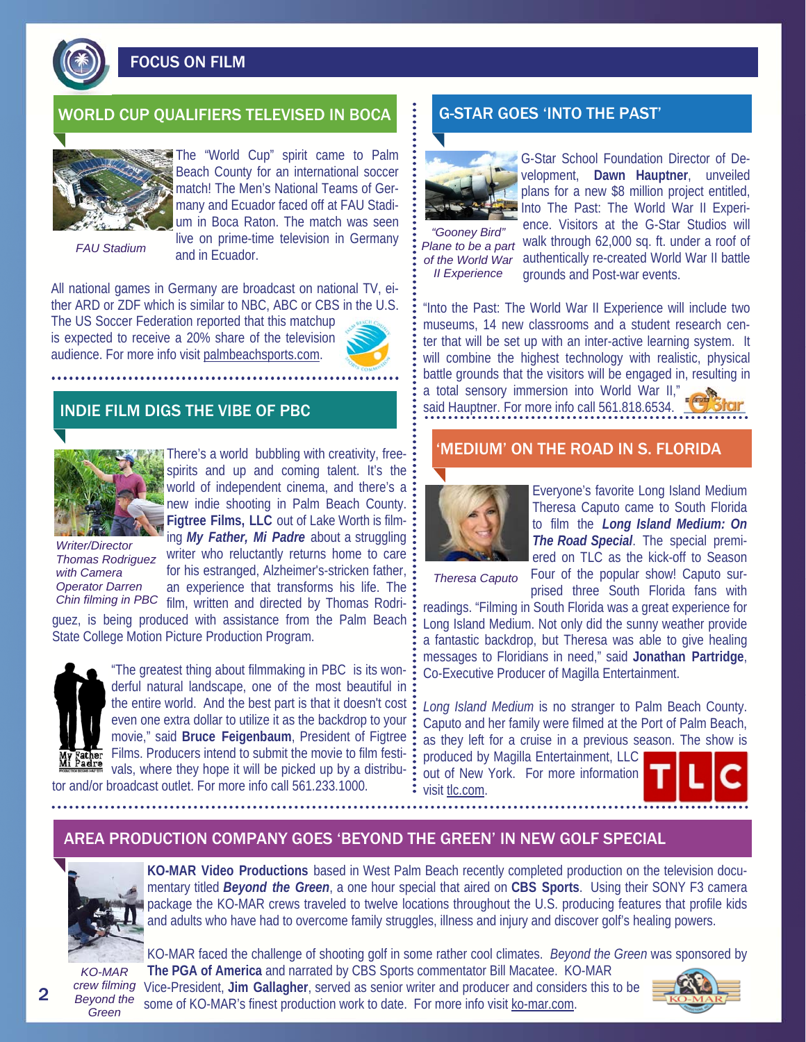

FOCUS ON FILM

## WORLD CUP QUALIFIERS TELEVISED IN BOCA G-STAR GOES 'INTO THE PAST'



The "World Cup" spirit came to Palm Beach County for an international soccer match! The Men's National Teams of Germany and Ecuador faced off at FAU Stadium in Boca Raton. The match was seen live on prime-time television in Germany and in Ecuador.

*FAU Stadium* 

All national games in Germany are broadcast on national TV, either ARD or ZDF which is similar to NBC, ABC or CBS in the U.S.

The US Soccer Federation reported that this matchup is expected to receive a 20% share of the television audience. For more info visit palmbeachsports.com.



### INDIE FILM DIGS THE VIBE OF PBC



*Thomas Rodriguez with Camera Operator Darren* 

There's a world bubbling with creativity, freespirits and up and coming talent. It's the world of independent cinema, and there's a: new indie shooting in Palm Beach County. **Figtree Films, LLC** out of Lake Worth is filming *My Father, Mi Padre* about a struggling writer who reluctantly returns home to care for his estranged, Alzheimer's-stricken father, an experience that transforms his life. The Chin filming in PBC film, written and directed by Thomas Rodri-

guez, is being produced with assistance from the Palm Beach State College Motion Picture Production Program.



"The greatest thing about filmmaking in PBC is its wonderful natural landscape, one of the most beautiful in the entire world. And the best part is that it doesn't cost even one extra dollar to utilize it as the backdrop to your movie," said **Bruce Feigenbaum**, President of Figtree Films. Producers intend to submit the movie to film festi-Wy Father FIIIIIS. Froduction include to Supply and the picked up by a distribu-<br>Wi Padre vals, where they hope it will be picked up by a distribu-

tor and/or broadcast outlet. For more info call 561.233.1000.



G-Star School Foundation Director of Development, **Dawn Hauptner**, unveiled plans for a new \$8 million project entitled, Into The Past: The World War II Experience. Visitors at the G-Star Studios will

*Plane to be a part II Experience* 

"Gooney Bird" Crice: Visitors at the G star stagios will<br>lane to be a part Walk through 62,000 sq. ft. under a roof of of the World War authentically re-created World War II battle grounds and Post-war events.

"Into the Past: The World War II Experience will include two museums, 14 new classrooms and a student research center that will be set up with an inter-active learning system. It will combine the highest technology with realistic, physical battle grounds that the visitors will be engaged in, resulting in a total sensory immersion into World War II," said Hauptner. For more info call 561.818.6534.

### 'MEDIUM' ON THE ROAD IN S. FLORIDA



Everyone's favorite Long Island Medium Theresa Caputo came to South Florida to film the *Long Island Medium: On The Road Special*. The special premiered on TLC as the kick-off to Season Four of the popular show! Caputo sur-

*Theresa Caputo* 

prised three South Florida fans with readings. "Filming in South Florida was a great experience for Long Island Medium. Not only did the sunny weather provide a fantastic backdrop, but Theresa was able to give healing messages to Floridians in need," said **Jonathan Partridge**, Co-Executive Producer of Magilla Entertainment.

*Long Island Medium* is no stranger to Palm Beach County. Caputo and her family were filmed at the Port of Palm Beach, as they left for a cruise in a previous season. The show is produced by Magilla Entertainment, LLC out of New York. For more information

visit tlc.com.



### AREA PRODUCTION COMPANY GOES 'BEYOND THE GREEN' IN NEW GOLF SPECIAL



**KO-MAR Video Productions** based in West Palm Beach recently completed production on the television documentary titled *Beyond the Green*, a one hour special that aired on **CBS Sports**. Using their SONY F3 camera package the KO-MAR crews traveled to twelve locations throughout the U.S. producing features that profile kids and adults who have had to overcome family struggles, illness and injury and discover golf's healing powers.

*KO-MAR crew filming Beyond the Green* 

KO-MAR faced the challenge of shooting golf in some rather cool climates. *Beyond the Green* was sponsored by **The PGA of America** and narrated by CBS Sports commentator Bill Macatee. KO-MAR Vice-President, **Jim Gallagher**, served as senior writer and producer and considers this to be some of KO-MAR's finest production work to date. For more info visit ko-mar.com.



2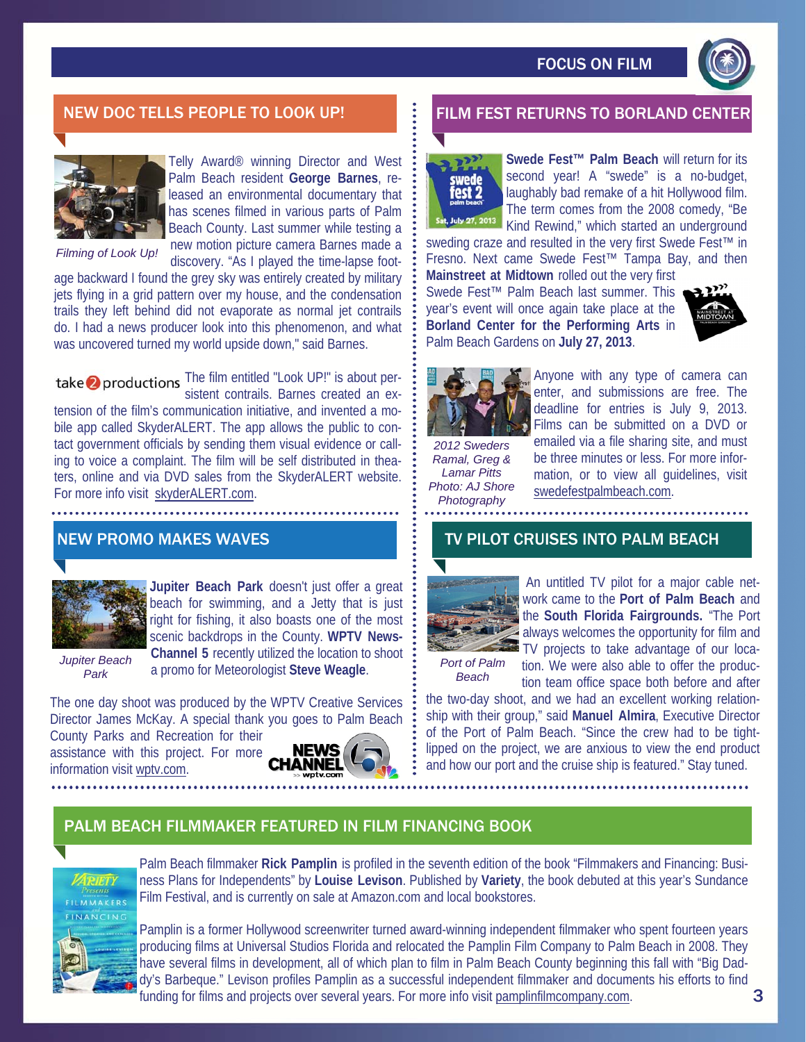

# NEW DOC TELLS PEOPLE TO LOOK UP! FILM FEST RETURNS TO BORLAND CENT



Telly Award® winning Director and West Palm Beach resident **George Barnes**, released an environmental documentary that has scenes filmed in various parts of Palm Beach County. Last summer while testing a new motion picture camera Barnes made a

*Filming of Look Up!* 

discovery. "As I played the time-lapse footage backward I found the grey sky was entirely created by military jets flying in a grid pattern over my house, and the condensation trails they left behind did not evaporate as normal jet contrails do. I had a news producer look into this phenomenon, and what was uncovered turned my world upside down," said Barnes.

take **2** productions The film entitled "Look UP!" is about persistent contrails. Barnes created an extension of the film's communication initiative, and invented a mobile app called SkyderALERT. The app allows the public to contact government officials by sending them visual evidence or calling to voice a complaint. The film will be self distributed in theaters, online and via DVD sales from the SkyderALERT website. For more info visit skyderALERT.com.

## NEW PROMO MAKES WAVES



**Jupiter Beach Park** doesn't just offer a great beach for swimming, and a Jetty that is just right for fishing, it also boasts one of the most scenic backdrops in the County. **WPTV News-Channel 5** recently utilized the location to shoot a promo for Meteorologist **Steve Weagle**.

*Jupiter Beach Park* 

The one day shoot was produced by the WPTV Creative Services Director James McKay. A special thank you goes to Palm Beach

County Parks and Recreation for their assistance with this project. For more information visit wptv.com.





**Swede Fest™ Palm Beach** will return for its second year! A "swede" is a no-budget, laughably bad remake of a hit Hollywood film. The term comes from the 2008 comedy, "Be Kind Rewind," which started an underground

sweding craze and resulted in the very first Swede Fest™ in Fresno. Next came Swede Fest™ Tampa Bay, and then

**Mainstreet at Midtown** rolled out the very first Swede Fest™ Palm Beach last summer. This year's event will once again take place at the **Borland Center for the Performing Arts** in Palm Beach Gardens on **July 27, 2013**.





*2012 Sweders Ramal, Greg & Lamar Pitts Photo: AJ Shore Photography* 

Anyone with any type of camera can enter, and submissions are free. The deadline for entries is July 9, 2013. Films can be submitted on a DVD or emailed via a file sharing site, and must be three minutes or less. For more information, or to view all guidelines, visit swedefestpalmbeach.com.

## TV PILOT CRUISES INTO PALM BEACH



 An untitled TV pilot for a major cable network came to the **Port of Palm Beach** and the **South Florida Fairgrounds.** "The Port always welcomes the opportunity for film and TV projects to take advantage of our location. We were also able to offer the produc-

*Port of Palm Beach* 

tion team office space both before and after the two-day shoot, and we had an excellent working relationship with their group," said **Manuel Almira**, Executive Director of the Port of Palm Beach. "Since the crew had to be tightlipped on the project, we are anxious to view the end product and how our port and the cruise ship is featured." Stay tuned.

# PALM BEACH FILMMAKER FEATURED IN FILM FINANCING BOOK



Palm Beach filmmaker **Rick Pamplin** is profiled in the seventh edition of the book "Filmmakers and Financing: Business Plans for Independents" by **Louise Levison**. Published by **Variety**, the book debuted at this year's Sundance Film Festival, and is currently on sale at Amazon.com and local bookstores.

Pamplin is a former Hollywood screenwriter turned award-winning independent filmmaker who spent fourteen years producing films at Universal Studios Florida and relocated the Pamplin Film Company to Palm Beach in 2008. They have several films in development, all of which plan to film in Palm Beach County beginning this fall with "Big Daddy's Barbeque." Levison profiles Pamplin as a successful independent filmmaker and documents his efforts to find funding for films and projects over several years. For more info visit pamplinfilmcompany.com.